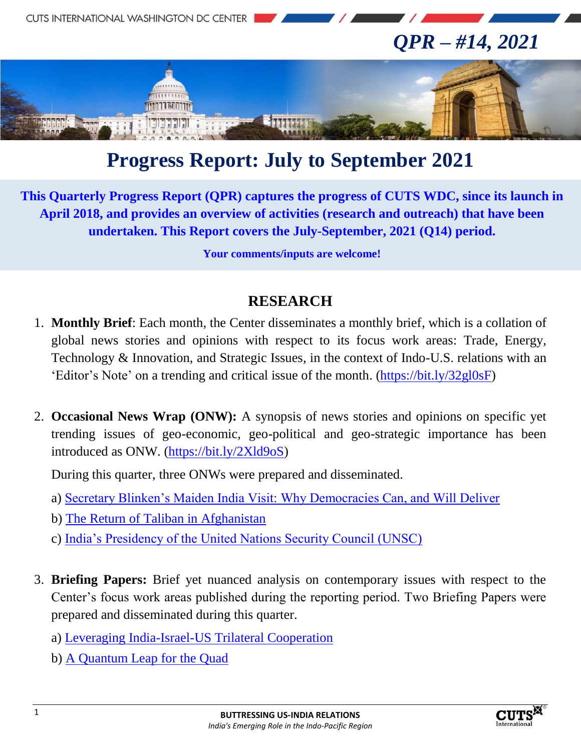

# **Progress Report: July to September 2021**

**This Quarterly Progress Report (QPR) captures the progress of CUTS WDC, since its launch in April 2018, and provides an overview of activities (research and outreach) that have been undertaken. This Report covers the July-September, 2021 (Q14) period.**

**Your comments/inputs are welcome!**

#### **RESEARCH**

- 1. **Monthly Brief**: Each month, the Center disseminates a monthly brief, which is a collation of global news stories and opinions with respect to its focus work areas: Trade, Energy, Technology & Innovation, and Strategic Issues, in the context of Indo-U.S. relations with an 'Editor's Note' on a trending and critical issue of the month. [\(https://bit.ly/32gl0sF\)](https://bit.ly/32gl0sF)
- 2. **Occasional News Wrap (ONW):** A synopsis of news stories and opinions on specific yet trending issues of geo-economic, geo-political and geo-strategic importance has been introduced as ONW. [\(https://bit.ly/2Xld9oS\)](https://bit.ly/2Xld9oS)

During this quarter, three ONWs were prepared and disseminated.

- a) [Secretary Blinken's Maiden India Visit: Why Democracies Can, and Will Deliver](http://cuts-wdc.org/pdf/secretary-blinkens-maiden-india-visit.pdf)
- b) [The Return of Taliban in Afghanistan](http://cuts-wdc.org/pdf/the-return-of-taliban-in-afghanistan.pdf)
- c) [India's Presidency of the United Nations Security Council \(UNSC\)](http://cuts-wdc.org/pdf/indias-presidency-of-the-unsc.pdf)
- 3. **Briefing Papers:** Brief yet nuanced analysis on contemporary issues with respect to the Center's focus work areas published during the reporting period. Two Briefing Papers were prepared and disseminated during this quarter.
	- a) [Leveraging India-Israel-US Trilateral Cooperation](http://cuts-wdc.org/pdf/briefing-paper-3-india-us-israel_trilateral_cooperation.pdf)
	- b) [A Quantum Leap for the Quad](http://cuts-wdc.org/pdf/briefing-paper-4-a-quantum-leap-for-the-quad.pdf)